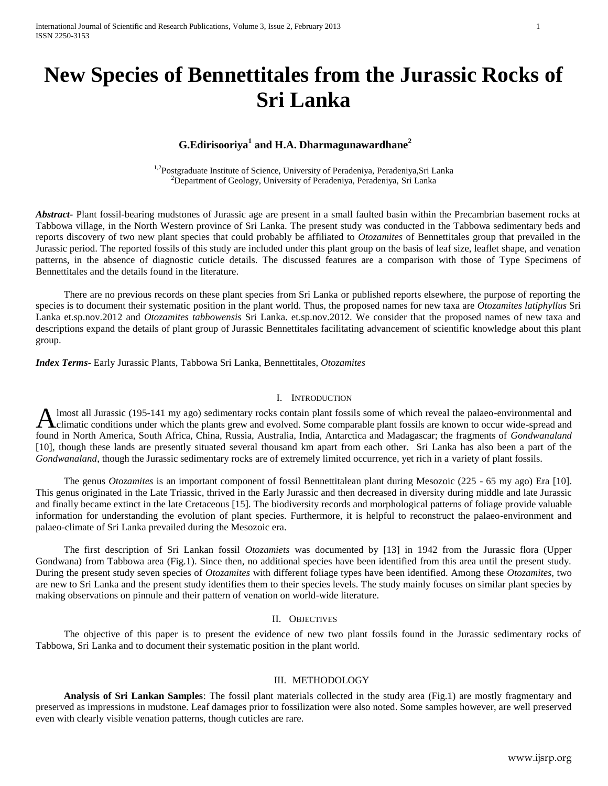# **New Species of Bennettitales from the Jurassic Rocks of Sri Lanka**

# **G.Edirisooriya<sup>1</sup> and H.A. Dharmagunawardhane<sup>2</sup>**

<sup>1,2</sup>Postgraduate Institute of Science, University of Peradeniya, Peradeniya, Sri Lanka <sup>2</sup>Department of Geology, University of Peradeniya, Peradeniya, Sri Lanka

*Abstract***-** Plant fossil-bearing mudstones of Jurassic age are present in a small faulted basin within the Precambrian basement rocks at Tabbowa village, in the North Western province of Sri Lanka. The present study was conducted in the Tabbowa sedimentary beds and reports discovery of two new plant species that could probably be affiliated to *Otozamites* of Bennettitales group that prevailed in the Jurassic period. The reported fossils of this study are included under this plant group on the basis of leaf size, leaflet shape, and venation patterns, in the absence of diagnostic cuticle details. The discussed features are a comparison with those of Type Specimens of Bennettitales and the details found in the literature.

There are no previous records on these plant species from Sri Lanka or published reports elsewhere, the purpose of reporting the species is to document their systematic position in the plant world. Thus, the proposed names for new taxa are *Otozamites latiphyllus* Sri Lanka et.sp.nov.2012 and *Otozamites tabbowensis* Sri Lanka. et.sp.nov.2012. We consider that the proposed names of new taxa and descriptions expand the details of plant group of Jurassic Bennettitales facilitating advancement of scientific knowledge about this plant group.

*Index Terms*- Early Jurassic Plants, Tabbowa Sri Lanka, Bennettitales, *Otozamites*

# I. INTRODUCTION

lmost all Jurassic (195-141 my ago) sedimentary rocks contain plant fossils some of which reveal the palaeo-environmental and climatic conditions under which the plants grew and evolved. Some comparable plant fossils are known to occur wide-spread and **A** lmost all Jurassic (195-141 my ago) sedimentary rocks contain plant fossils some of which reveal the palaeo-environmental and climatic conditions under which the plants grew and evolved. Some comparable plant fossils a [10], though these lands are presently situated several thousand km apart from each other. Sri Lanka has also been a part of the *Gondwanaland*, though the Jurassic sedimentary rocks are of extremely limited occurrence, yet rich in a variety of plant fossils.

The genus *Otozamites* is an important component of fossil Bennettitalean plant during Mesozoic (225 - 65 my ago) Era [10]. This genus originated in the Late Triassic, thrived in the Early Jurassic and then decreased in diversity during middle and late Jurassic and finally became extinct in the late Cretaceous [15]. The biodiversity records and morphological patterns of foliage provide valuable information for understanding the evolution of plant species. Furthermore, it is helpful to reconstruct the palaeo-environment and palaeo-climate of Sri Lanka prevailed during the Mesozoic era.

The first description of Sri Lankan fossil *Otozamiets* was documented by [13] in 1942 from the Jurassic flora (Upper Gondwana) from Tabbowa area (Fig.1). Since then, no additional species have been identified from this area until the present study. During the present study seven species of *Otozamites* with different foliage types have been identified. Among these *Otozamites,* two are new to Sri Lanka and the present study identifies them to their species levels. The study mainly focuses on similar plant species by making observations on pinnule and their pattern of venation on world-wide literature.

#### II. OBJECTIVES

The objective of this paper is to present the evidence of new two plant fossils found in the Jurassic sedimentary rocks of Tabbowa, Sri Lanka and to document their systematic position in the plant world.

## III. METHODOLOGY

**Analysis of Sri Lankan Samples**: The fossil plant materials collected in the study area (Fig.1) are mostly fragmentary and preserved as impressions in mudstone. Leaf damages prior to fossilization were also noted. Some samples however, are well preserved even with clearly visible venation patterns, though cuticles are rare.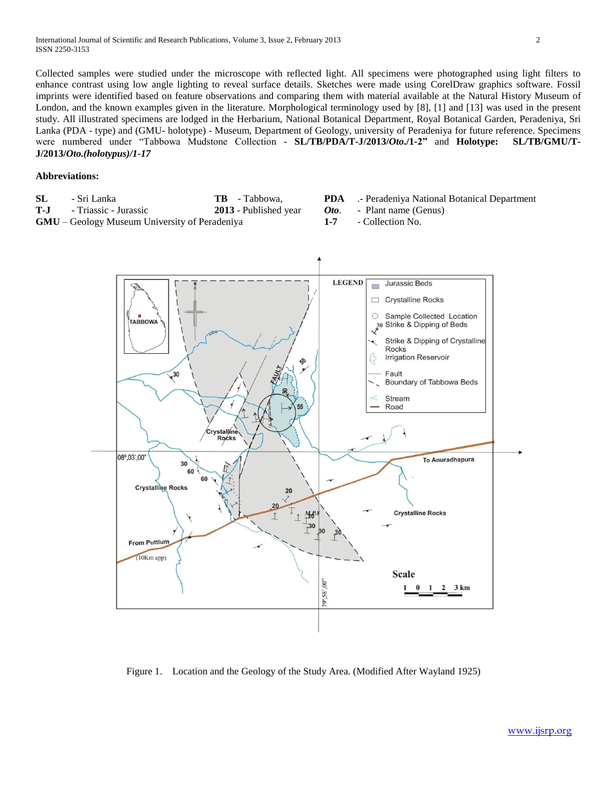Collected samples were studied under the microscope with reflected light. All specimens were photographed using light filters to enhance contrast using low angle lighting to reveal surface details. Sketches were made using CorelDraw graphics software. Fossil imprints were identified based on feature observations and comparing them with material available at the Natural History Museum of London, and the known examples given in the literature. Morphological terminology used by [8], [1] and [13] was used in the present study. All illustrated specimens are lodged in the Herbarium, National Botanical Department, Royal Botanical Garden, Peradeniya, Sri Lanka (PDA - type) and (GMU- holotype) - Museum, Department of Geology, university of Peradeniya for future reference. Specimens were numbered under "Tabbowa Mudstone Collection - **SL/TB/PDA/T-J/2013/***Oto***./1-2"** and **Holotype: SL/TB/GMU/T-J/2013/***Oto.(holotypus)/1-17*

#### **Abbreviations:**

| SL.                                                  | - Sri Lanka                      | <b>TB</b> - Tabbowa.         | <b>PDA</b> - Peradeniya National Botanical Department |
|------------------------------------------------------|----------------------------------|------------------------------|-------------------------------------------------------|
|                                                      | <b>T-J</b> - Triassic - Jurassic | <b>2013</b> - Published year | <i>Oto</i> . - Plant name (Genus)                     |
| <b>GMU</b> – Geology Museum University of Peradeniya |                                  |                              | - Collection No.                                      |



Figure 1. Location and the Geology of the Study Area. (Modified After Wayland 1925)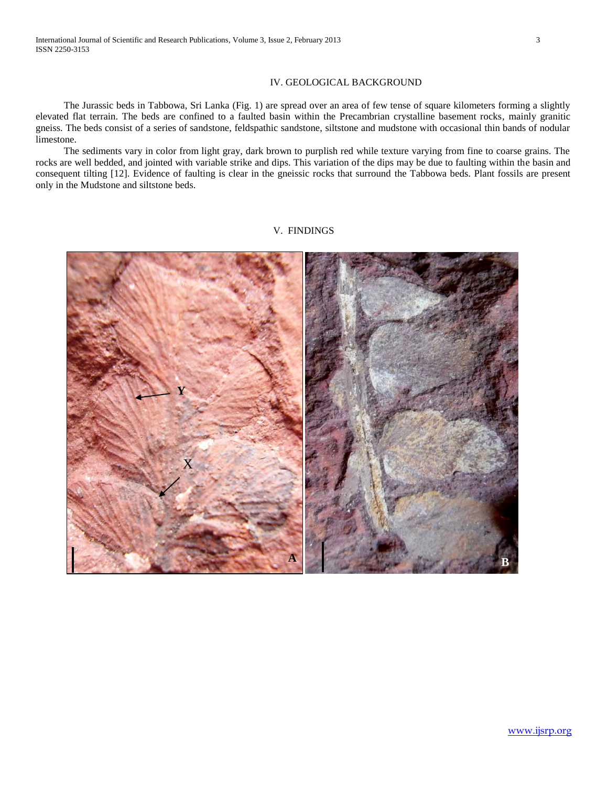# IV. GEOLOGICAL BACKGROUND

The Jurassic beds in Tabbowa, Sri Lanka (Fig. 1) are spread over an area of few tense of square kilometers forming a slightly elevated flat terrain. The beds are confined to a faulted basin within the Precambrian crystalline basement rocks, mainly granitic gneiss. The beds consist of a series of sandstone, feldspathic sandstone, siltstone and mudstone with occasional thin bands of nodular limestone.

The sediments vary in color from light gray, dark brown to purplish red while texture varying from fine to coarse grains. The rocks are well bedded, and jointed with variable strike and dips. This variation of the dips may be due to faulting within the basin and consequent tilting [12]. Evidence of faulting is clear in the gneissic rocks that surround the Tabbowa beds. Plant fossils are present only in the Mudstone and siltstone beds.

# V. FINDINGS

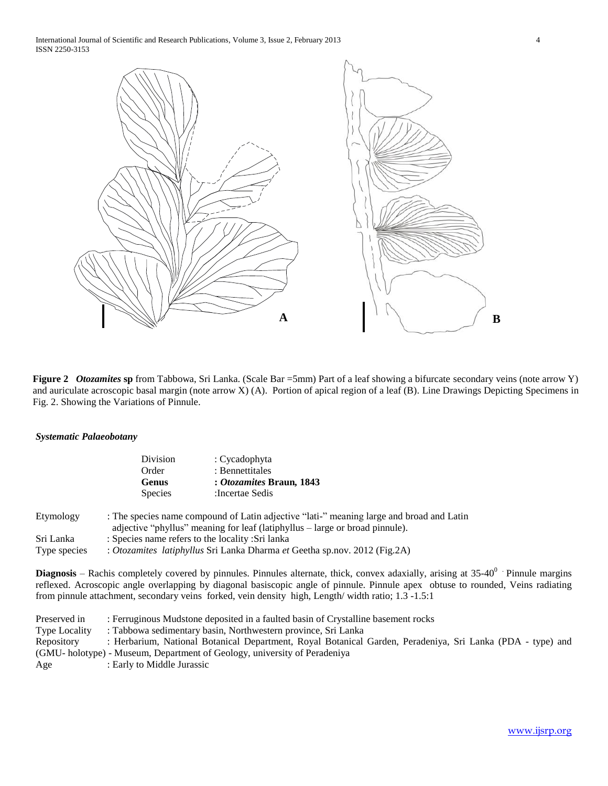International Journal of Scientific and Research Publications, Volume 3, Issue 2, February 2013 4 ISSN 2250-3153



**Figure 2** *Otozamites* **sp** from Tabbowa, Sri Lanka. (Scale Bar =5mm) Part of a leaf showing a bifurcate secondary veins (note arrow Y) and auriculate acroscopic basal margin (note arrow X) (A). Portion of apical region of a leaf (B). Line Drawings Depicting Specimens in Fig. 2. Showing the Variations of Pinnule.

# *Systematic Palaeobotany*

|              | Division                                                                                                                                                                 | : Cycadophyta                        |  |
|--------------|--------------------------------------------------------------------------------------------------------------------------------------------------------------------------|--------------------------------------|--|
|              | Order                                                                                                                                                                    | : Bennettitales                      |  |
|              | <b>Genus</b>                                                                                                                                                             | <i><b>Chammangle Braun, 1843</b></i> |  |
|              | <b>Species</b>                                                                                                                                                           | :Incertae Sedis                      |  |
| Etymology    | : The species name compound of Latin adjective "lati-" meaning large and broad and Latin<br>adjective "phyllus" meaning for leaf (latiphyllus – large or broad pinnule). |                                      |  |
| Sri Lanka    | : Species name refers to the locality : Sri lanka                                                                                                                        |                                      |  |
| Type species | : Otozamites latiphyllus Sri Lanka Dharma et Geetha sp.nov. 2012 (Fig.2A)                                                                                                |                                      |  |

**Diagnosis** – Rachis completely covered by pinnules. Pinnules alternate, thick, convex adaxially, arising at 35-40<sup>0</sup> · Pinnule margins reflexed. Acroscopic angle overlapping by diagonal basiscopic angle of pinnule. Pinnule apex obtuse to rounded, Veins radiating from pinnule attachment, secondary veins forked, vein density high, Length/ width ratio; 1.3 -1.5:1

| Preserved in         | : Ferruginous Mudstone deposited in a faulted basin of Crystalline basement rocks                          |
|----------------------|------------------------------------------------------------------------------------------------------------|
| <b>Type Locality</b> | : Tabbowa sedimentary basin, Northwestern province, Sri Lanka                                              |
| Repository           | : Herbarium, National Botanical Department, Royal Botanical Garden, Peradeniya, Sri Lanka (PDA - type) and |
|                      | (GMU-holotype) - Museum, Department of Geology, university of Peradeniya                                   |
| Age                  | : Early to Middle Jurassic                                                                                 |

www.ijsrp.org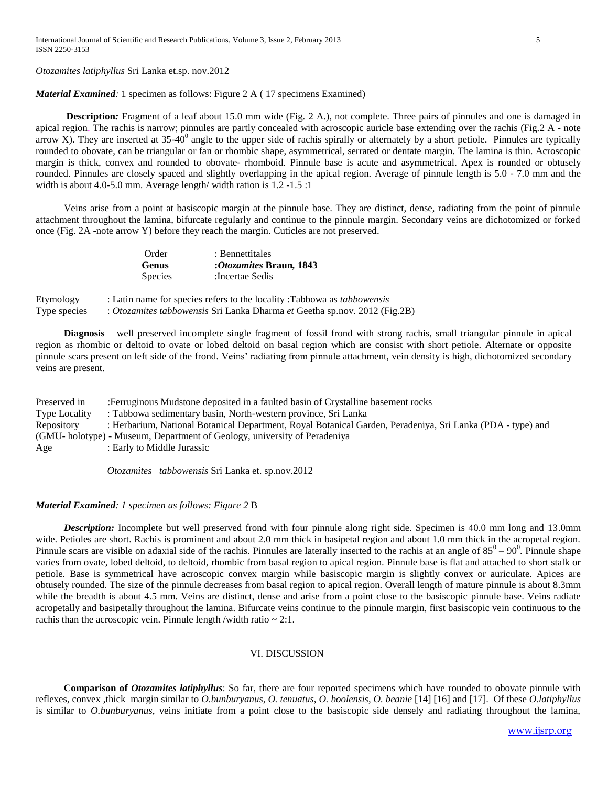*Otozamites latiphyllus* Sri Lanka et.sp. nov.2012

## *Material Examined:* 1 specimen as follows: Figure 2 A ( 17 specimens Examined)

**Description:** Fragment of a leaf about 15.0 mm wide (Fig. 2 A.), not complete. Three pairs of pinnules and one is damaged in apical region. The rachis is narrow; pinnules are partly concealed with acroscopic auricle base extending over the rachis (Fig.2 A - note arrow X). They are inserted at  $35-40^0$  angle to the upper side of rachis spirally or alternately by a short petiole. Pinnules are typically rounded to obovate, can be triangular or fan or rhombic shape, asymmetrical, serrated or dentate margin. The lamina is thin. Acroscopic margin is thick, convex and rounded to obovate- rhomboid. Pinnule base is acute and asymmetrical. Apex is rounded or obtusely rounded. Pinnules are closely spaced and slightly overlapping in the apical region. Average of pinnule length is 5.0 - 7.0 mm and the width is about 4.0-5.0 mm. Average length/ width ration is 1.2 -1.5 :1

Veins arise from a point at basiscopic margin at the pinnule base. They are distinct, dense, radiating from the point of pinnule attachment throughout the lamina, bifurcate regularly and continue to the pinnule margin. Secondary veins are dichotomized or forked once (Fig. 2A -note arrow Y) before they reach the margin. Cuticles are not preserved.

| Order          | : Bennettitales<br><i><b>Chazamites Braun, 1843</b></i> |  |
|----------------|---------------------------------------------------------|--|
| Genus          |                                                         |  |
| <b>Species</b> | :Incertae Sedis                                         |  |
|                |                                                         |  |

Etymology : Latin name for species refers to the locality :Tabbowa as *tabbowensis* Type species : *Otozamites tabbowensis* Sri Lanka Dharma *et* Geetha sp.nov. 2012 (Fig.2B)

**Diagnosis** – well preserved incomplete single fragment of fossil frond with strong rachis, small triangular pinnule in apical region as rhombic or deltoid to ovate or lobed deltoid on basal region which are consist with short petiole. Alternate or opposite pinnule scars present on left side of the frond. Veins' radiating from pinnule attachment, vein density is high, dichotomized secondary veins are present.

| Preserved in         | : Ferruginous Mudstone deposited in a faulted basin of Crystalline basement rocks                          |
|----------------------|------------------------------------------------------------------------------------------------------------|
| <b>Type Locality</b> | : Tabbowa sedimentary basin, North-western province, Sri Lanka                                             |
| Repository           | : Herbarium, National Botanical Department, Royal Botanical Garden, Peradeniya, Sri Lanka (PDA - type) and |
|                      | (GMU-holotype) - Museum, Department of Geology, university of Peradeniya                                   |
| Age                  | : Early to Middle Jurassic                                                                                 |

*Otozamites tabbowensis* Sri Lanka et. sp.nov.2012

#### *Material Examined: 1 specimen as follows: Figure 2* B

*Description:* Incomplete but well preserved frond with four pinnule along right side. Specimen is 40.0 mm long and 13.0mm wide. Petioles are short. Rachis is prominent and about 2.0 mm thick in basipetal region and about 1.0 mm thick in the acropetal region. Pinnule scars are visible on adaxial side of the rachis. Pinnules are laterally inserted to the rachis at an angle of  $85^{\circ} - 90^{\circ}$ . Pinnule shape varies from ovate, lobed deltoid, to deltoid, rhombic from basal region to apical region. Pinnule base is flat and attached to short stalk or petiole. Base is symmetrical have acroscopic convex margin while basiscopic margin is slightly convex or auriculate. Apices are obtusely rounded. The size of the pinnule decreases from basal region to apical region. Overall length of mature pinnule is about 8.3mm while the breadth is about 4.5 mm. Veins are distinct, dense and arise from a point close to the basiscopic pinnule base. Veins radiate acropetally and basipetally throughout the lamina. Bifurcate veins continue to the pinnule margin, first basiscopic vein continuous to the rachis than the acroscopic vein. Pinnule length /width ratio  $\sim 2:1$ .

# VI. DISCUSSION

**Comparison of** *Otozamites latiphyllus*: So far, there are four reported specimens which have rounded to obovate pinnule with reflexes, convex ,thick margin similar to *O.bunburyanus*, *O. tenuatus*, *O. boolensis*, *O. beanie* [14] [16] and [17]. Of these *O.latiphyllus* is similar to *O.bunburyanus*, veins initiate from a point close to the basiscopic side densely and radiating throughout the lamina,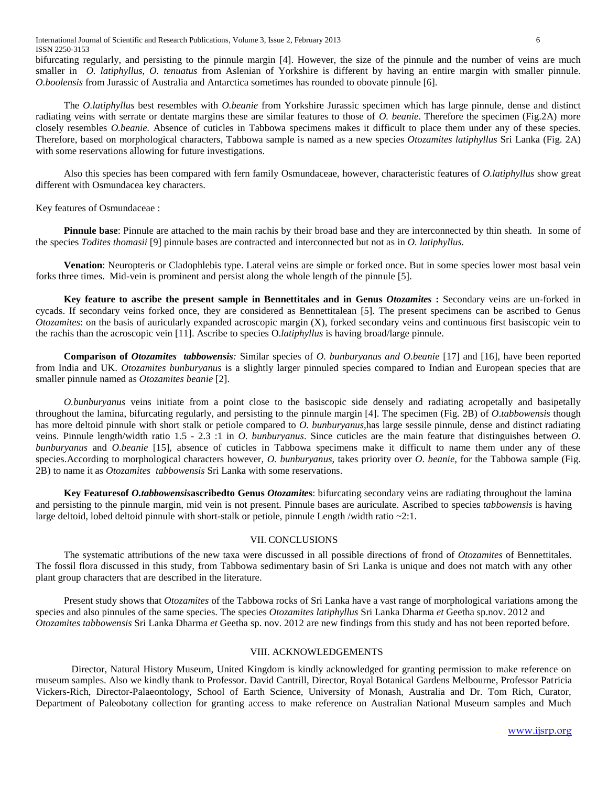International Journal of Scientific and Research Publications, Volume 3, Issue 2, February 2013 6 ISSN 2250-3153

bifurcating regularly, and persisting to the pinnule margin [4]. However, the size of the pinnule and the number of veins are much smaller in *O. latiphyllus, O. tenuatus* from Aslenian of Yorkshire is different by having an entire margin with smaller pinnule. *O.boolensis* from Jurassic of Australia and Antarctica sometimes has rounded to obovate pinnule [6].

The *O.latiphyllus* best resembles with *O.beanie* from Yorkshire Jurassic specimen which has large pinnule, dense and distinct radiating veins with serrate or dentate margins these are similar features to those of *O. beanie*. Therefore the specimen (Fig.2A) more closely resembles *O.beanie.* Absence of cuticles in Tabbowa specimens makes it difficult to place them under any of these species. Therefore, based on morphological characters, Tabbowa sample is named as a new species *Otozamites latiphyllus* Sri Lanka (Fig. 2A) with some reservations allowing for future investigations.

Also this species has been compared with fern family Osmundaceae, however, characteristic features of *O.latiphyllus* show great different with Osmundacea key characters.

Key features of Osmundaceae :

**Pinnule base**: Pinnule are attached to the main rachis by their broad base and they are interconnected by thin sheath. In some of the species *Todites thomasii* [9] pinnule bases are contracted and interconnected but not as in *O. latiphyllus.* 

**Venation**: Neuropteris or Cladophlebis type. Lateral veins are simple or forked once. But in some species lower most basal vein forks three times. Mid-vein is prominent and persist along the whole length of the pinnule [5].

**Key feature to ascribe the present sample in Bennettitales and in Genus** *Otozamites* **:** Secondary veins are un-forked in cycads. If secondary veins forked once, they are considered as Bennettitalean [5]. The present specimens can be ascribed to Genus *Otozamites*: on the basis of auricularly expanded acroscopic margin (X), forked secondary veins and continuous first basiscopic vein to the rachis than the acroscopic vein [11]. Ascribe to species O.*latiphyllus* is having broad/large pinnule.

**Comparison of** *Otozamites tabbowensis:* Similar species of *O. bunburyanus and O.beanie* [17] and [16], have been reported from India and UK. *Otozamites bunburyanus* is a slightly larger pinnuled species compared to Indian and European species that are smaller pinnule named as *Otozamites beanie* [2].

*O.bunburyanus* veins initiate from a point close to the basiscopic side densely and radiating acropetally and basipetally throughout the lamina, bifurcating regularly, and persisting to the pinnule margin [4]. The specimen (Fig. 2B) of *O*.*tabbowensis* though has more deltoid pinnule with short stalk or petiole compared to *O. bunburyanus,*has large sessile pinnule, dense and distinct radiating veins. Pinnule length/width ratio 1.5 - 2.3 :1 in *O. bunburyanus*. Since cuticles are the main feature that distinguishes between *O. bunburyanus* and *O.beanie* [15], absence of cuticles in Tabbowa specimens make it difficult to name them under any of these species.According to morphological characters however, *O. bunburyanus,* takes priority over *O. beanie,* for the Tabbowa sample (Fig. 2B) to name it as *Otozamites tabbowensis* Sri Lanka with some reservations.

**Key Featuresof** *O.tabbowensis***ascribedto Genus** *Otozamite***s**: bifurcating secondary veins are radiating throughout the lamina and persisting to the pinnule margin, mid vein is not present. Pinnule bases are auriculate. Ascribed to species *tabbowensis* is having large deltoid, lobed deltoid pinnule with short-stalk or petiole, pinnule Length /width ratio ~2:1.

# VII. CONCLUSIONS

The systematic attributions of the new taxa were discussed in all possible directions of frond of *Otozamites* of Bennettitales. The fossil flora discussed in this study, from Tabbowa sedimentary basin of Sri Lanka is unique and does not match with any other plant group characters that are described in the literature.

Present study shows that *Otozamites* of the Tabbowa rocks of Sri Lanka have a vast range of morphological variations among the species and also pinnules of the same species. The species *Otozamites latiphyllus* Sri Lanka Dharma *et* Geetha sp.nov. 2012 and *Otozamites tabbowensis* Sri Lanka Dharma *et* Geetha sp. nov. 2012 are new findings from this study and has not been reported before.

#### VIII. ACKNOWLEDGEMENTS

Director, Natural History Museum, United Kingdom is kindly acknowledged for granting permission to make reference on museum samples. Also we kindly thank to Professor. David Cantrill, Director, Royal Botanical Gardens Melbourne, Professor Patricia Vickers-Rich, Director-Palaeontology, School of Earth Science, University of Monash, Australia and Dr. Tom Rich, Curator, Department of Paleobotany collection for granting access to make reference on Australian National Museum samples and Much